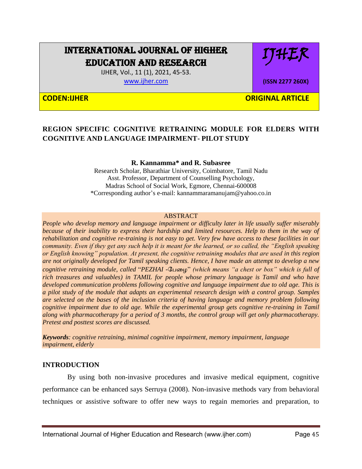# INTERNATIONAL JOURNAL OF HIGHER EDUCATION AND RESEARCH

IJHER

**(ISSN 2277 260X)**

IJHER, Vol., 11 (1), 2021, 45-53.

[www.ijher.com](http://www.ijher.com/)

**CODEN:IJHER ORIGINAL ARTICLE** 

## **REGION SPECIFIC COGNITIVE RETRAINING MODULE FOR ELDERS WITH COGNITIVE AND LANGUAGE IMPAIRMENT- PILOT STUDY**

#### **R. Kannamma\* and R. Subasree**

Research Scholar, Bharathiar University, Coimbatore, Tamil Nadu Asst. Professor, Department of Counselling Psychology, Madras School of Social Work, Egmore, Chennai-600008 \*Corresponding author's e-mail: kannammaramanujam@yahoo.co.in

#### ABSTRACT

*People who develop memory and language impairment or difficulty later in life usually suffer miserably because of their inability to express their hardship and limited resources. Help to them in the way of rehabilitation and cognitive re-training is not easy to get. Very few have access to these facilities in our community. Even if they get any such help it is meant for the learned, or so called, the "English speaking or English knowing" population. At present, the cognitive retraining modules that are used in this region are not originally developed for Tamil speaking clients. Hence, I have made an attempt to develop a new cognitive retraining module, called* "*PEZHAI -*பழை" *(which means "a chest or box" which is full of rich treasures and valuables) in TAMIL for people whose primary language is Tamil and who have developed communication problems following cognitive and language impairment due to old age. This is a pilot study of the module that adapts an experimental research design with a control group. Samples are selected on the bases of the inclusion criteria of having language and memory problem following cognitive impairment due to old age. While the experimental group gets cognitive re-training in Tamil along with pharmacotherapy for a period of 3 months, the control group will get only pharmacotherapy. Pretest and posttest scores are discussed.*

*Keywords: cognitive retraining, minimal cognitive impairment, memory impairment, language impairment, elderly*

### **INTRODUCTION**

 By using both non-invasive procedures and invasive medical equipment, cognitive performance can be enhanced says Serruya (2008). Non-invasive methods vary from behavioral techniques or assistive software to offer new ways to regain memories and preparation, to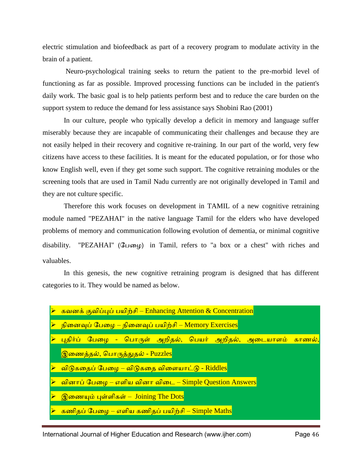electric stimulation and biofeedback as part of a recovery program to modulate activity in the brain of a patient.

Neuro-psychological training seeks to return the patient to the pre-morbid level of functioning as far as possible. Improved processing functions can be included in the patient's daily work. The basic goal is to help patients perform best and to reduce the care burden on the support system to reduce the demand for less assistance says Shobini Rao (2001)

In our culture, people who typically develop a deficit in memory and language suffer miserably because they are incapable of communicating their challenges and because they are not easily helped in their recovery and cognitive re-training. In our part of the world, very few citizens have access to these facilities. It is meant for the educated population, or for those who know English well, even if they get some such support. The cognitive retraining modules or the screening tools that are used in Tamil Nadu currently are not originally developed in Tamil and they are not culture specific.

Therefore this work focuses on development in TAMIL of a new cognitive retraining module named "PEZAHAI" in the native language Tamil for the elders who have developed problems of memory and communication following evolution of dementia, or minimal cognitive disability. "PEZAHAI" (பேழை) in Tamil, refers to "a box or a chest" with riches and valuables.

In this genesis, the new cognitive retraining program is designed that has different categories to it. They would be named as below.

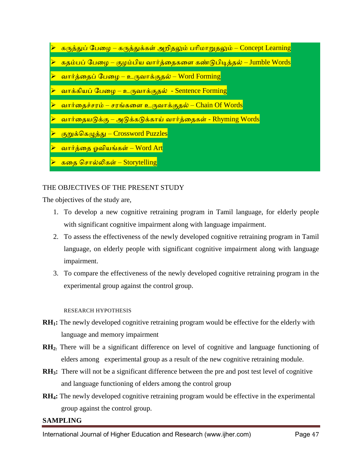- <u>கருத்துப் பேழை கருத்துக்கள் அறிதலும் பரிமாறுதலும் Concept Learning</u>
- <mark>் கதம்பப் பேழை குழம்பிய வார்த்தைகளை கண்டுபிடித்தல் Jumble Words</mark>
- வொர்த்ழதப் பழை உருவொக்குதல் Word Forming
- வாக்கியப் பேழை உருவாக்குதல் Sentence Forming
- வொர்ழதச்சபம் சபங்கழள உருவொக்குதல் Chain Of Words
- வார்தையடுக்கு அடுக்கடுக்காய் வார்த்தைகள் Rhyming Words
- குறுக்பகழுத்து Crossword Puzzles
- வார்த்தை ஓவியங்கள் Word Art
- ்கதை சொல்லிகள் Storytelling

## THE OBJECTIVES OF THE PRESENT STUDY

The objectives of the study are,

- 1. To develop a new cognitive retraining program in Tamil language, for elderly people with significant cognitive impairment along with language impairment.
- 2. To assess the effectiveness of the newly developed cognitive retraining program in Tamil language, on elderly people with significant cognitive impairment along with language impairment.
- 3. To compare the effectiveness of the newly developed cognitive retraining program in the experimental group against the control group.

#### RESEARCH HYPOTHESIS

- **RH1:** The newly developed cognitive retraining program would be effective for the elderly with language and memory impairment
- **RH2:** There will be a significant difference on level of cognitive and language functioning of elders among experimental group as a result of the new cognitive retraining module.
- **RH3:** There will not be a significant difference between the pre and post test level of cognitive and language functioning of elders among the control group
- **RH4:** The newly developed cognitive retraining program would be effective in the experimental group against the control group.

### **SAMPLING**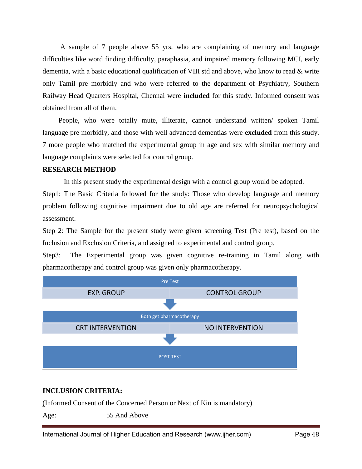A sample of 7 people above 55 yrs, who are complaining of memory and language difficulties like word finding difficulty, paraphasia, and impaired memory following MCI, early dementia, with a basic educational qualification of VIII std and above, who know to read & write only Tamil pre morbidly and who were referred to the department of Psychiatry, Southern Railway Head Quarters Hospital, Chennai were **included** for this study. Informed consent was obtained from all of them.

 People, who were totally mute, illiterate, cannot understand written/ spoken Tamil language pre morbidly, and those with well advanced dementias were **excluded** from this study. 7 more people who matched the experimental group in age and sex with similar memory and language complaints were selected for control group.

#### **RESEARCH METHOD**

In this present study the experimental design with a control group would be adopted.

Step1: The Basic Criteria followed for the study: Those who develop language and memory problem following cognitive impairment due to old age are referred for neuropsychological assessment.

Step 2: The Sample for the present study were given screening Test (Pre test), based on the Inclusion and Exclusion Criteria, and assigned to experimental and control group.

Step3: The Experimental group was given cognitive re-training in Tamil along with pharmacotherapy and control group was given only pharmacotherapy.



### **INCLUSION CRITERIA:**

(Informed Consent of the Concerned Person or Next of Kin is mandatory)

Age: 55 And Above

International Journal of Higher Education and Research (www.ijher.com) Page 48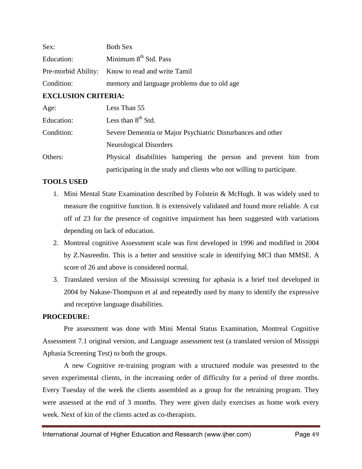| Sex:       | <b>Both Sex</b>                                  |
|------------|--------------------------------------------------|
| Education: | Minimum 8 <sup>th</sup> Std. Pass                |
|            | Pre-morbid Ability: Know to read and write Tamil |
| Condition: | memory and language problems due to old age      |

#### **EXCLUSION CRITERIA:**

| Age:       | Less Than 55                                                           |  |  |  |  |  |  |  |  |
|------------|------------------------------------------------------------------------|--|--|--|--|--|--|--|--|
| Education: | Less than $8th$ Std.                                                   |  |  |  |  |  |  |  |  |
| Condition: | Severe Dementia or Major Psychiatric Disturbances and other            |  |  |  |  |  |  |  |  |
|            | Neurological Disorders                                                 |  |  |  |  |  |  |  |  |
| Others:    | Physical disabilities hampering the person and prevent him from        |  |  |  |  |  |  |  |  |
|            | participating in the study and clients who not willing to participate. |  |  |  |  |  |  |  |  |

#### **TOOLS USED**

- 1. Mini Mental State Examination described by Folstein & McHugh. It was widely used to measure the cognitive function. It is extensively validated and found more reliable. A cut off of 23 for the presence of cognitive impairment has been suggested with variations depending on lack of education.
- 2. Montreal cognitive Assessment scale was first developed in 1996 and modified in 2004 by Z.Nasreedin. This is a better and sensitive scale in identifying MCI than MMSE. A score of 26 and above is considered normal.
- 3. Translated version of the Mississipi screening for aphasia is a brief tool developed in 2004 by Nakase-Thompson et al and repeatedly used by many to identify the expressive and receptive language disabilities.

#### **PROCEDURE:**

Pre assessment was done with Mini Mental Status Examination, Montreal Cognitive Assessment 7.1 original version, and Language assessment test (a translated version of Missippi Aphasia Screening Test) to both the groups.

A new Cognitive re-training program with a structured module was presented to the seven experimental clients, in the increasing order of difficulty for a period of three months. Every Tuesday of the week the clients assembled as a group for the retraining program. They were assessed at the end of 3 months. They were given daily exercises as home work every week. Next of kin of the clients acted as co-therapists.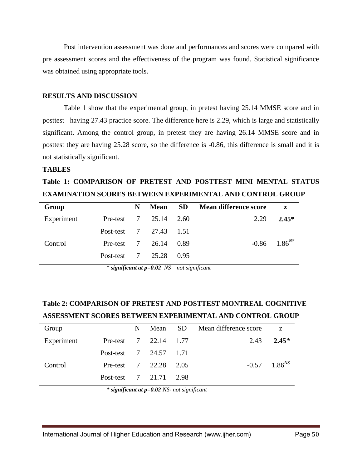Post intervention assessment was done and performances and scores were compared with pre assessment scores and the effectiveness of the program was found. Statistical significance was obtained using appropriate tools.

#### **RESULTS AND DISCUSSION**

Table 1 show that the experimental group, in pretest having 25.14 MMSE score and in posttest having 27.43 practice score. The difference here is 2.29, which is large and statistically significant. Among the control group, in pretest they are having 26.14 MMSE score and in posttest they are having 25.28 score, so the difference is -0.86, this difference is small and it is not statistically significant.

#### **TABLES**

# **Table 1: COMPARISON OF PRETEST AND POSTTEST MINI MENTAL STATUS EXAMINATION SCORES BETWEEN EXPERIMENTAL AND CONTROL GROUP**

| Group      |                                   | N | <b>Mean</b> | <b>SD</b> | <b>Mean difference score</b> | $\mathbf{z}$        |
|------------|-----------------------------------|---|-------------|-----------|------------------------------|---------------------|
| Experiment | Pre-test $7\quad 25.14\quad 2.60$ |   |             |           | 2.29                         | $2.45*$             |
|            | Post-test 7 27.43 1.51            |   |             |           |                              |                     |
| Control    | Pre-test $7\quad 26.14$           |   |             | 0.89      |                              | $-0.86$ $1.86^{NS}$ |
|            | Post-test 7 25.28                 |   |             | 0.95      |                              |                     |

*\* significant at p=0.02 NS – not significant*

## **Table 2: COMPARISON OF PRETEST AND POSTTEST MONTREAL COGNITIVE ASSESSMENT SCORES BETWEEN EXPERIMENTAL AND CONTROL GROUP**

| Group      |                        | N |  | Mean SD Mean difference score | Z                          |
|------------|------------------------|---|--|-------------------------------|----------------------------|
| Experiment | Pre-test 7 22.14 1.77  |   |  | 2.43                          | $2.45*$                    |
|            | Post-test 7 24.57 1.71 |   |  |                               |                            |
| Control    | Pre-test 7 22.28 2.05  |   |  |                               | $-0.57$ 1.86 <sup>NS</sup> |
|            | Post-test 7 21.71 2.98 |   |  |                               |                            |

*\* significant at p=0.02 NS- not significant*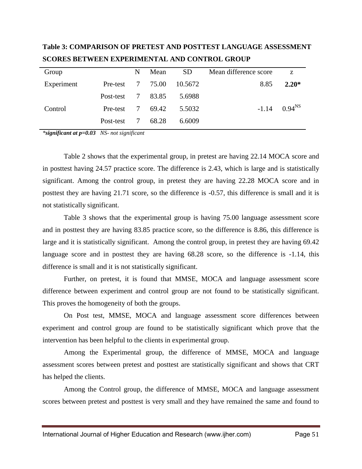| Group      |           | N               | Mean  | SD <sub>1</sub> | Mean difference score | Z           |
|------------|-----------|-----------------|-------|-----------------|-----------------------|-------------|
| Experiment | Pre-test  | $7\phantom{.0}$ | 75.00 | 10.5672         | 8.85                  | $2.20*$     |
|            | Post-test | 7               | 83.85 | 5.6988          |                       |             |
| Control    | Pre-test  | 7               | 69.42 | 5.5032          | $-1.14$               | $0.94^{NS}$ |
|            | Post-test | 7               | 68.28 | 6.6009          |                       |             |

**Table 3: COMPARISON OF PRETEST AND POSTTEST LANGUAGE ASSESSMENT SCORES BETWEEN EXPERIMENTAL AND CONTROL GROUP**

*\*significant at p=0.03 NS- not significant*

Table 2 shows that the experimental group, in pretest are having 22.14 MOCA score and in posttest having 24.57 practice score. The difference is 2.43, which is large and is statistically significant. Among the control group, in pretest they are having 22.28 MOCA score and in posttest they are having 21.71 score, so the difference is -0.57, this difference is small and it is not statistically significant.

Table 3 shows that the experimental group is having 75.00 language assessment score and in posttest they are having 83.85 practice score, so the difference is 8.86, this difference is large and it is statistically significant. Among the control group, in pretest they are having 69.42 language score and in posttest they are having 68.28 score, so the difference is  $-1.14$ , this difference is small and it is not statistically significant.

Further, on pretest, it is found that MMSE, MOCA and language assessment score difference between experiment and control group are not found to be statistically significant. This proves the homogeneity of both the groups.

On Post test, MMSE, MOCA and language assessment score differences between experiment and control group are found to be statistically significant which prove that the intervention has been helpful to the clients in experimental group.

Among the Experimental group, the difference of MMSE, MOCA and language assessment scores between pretest and posttest are statistically significant and shows that CRT has helped the clients.

Among the Control group, the difference of MMSE, MOCA and language assessment scores between pretest and posttest is very small and they have remained the same and found to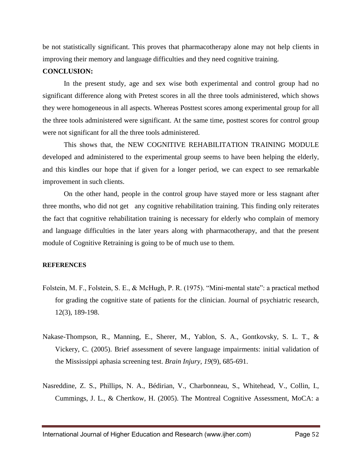be not statistically significant. This proves that pharmacotherapy alone may not help clients in improving their memory and language difficulties and they need cognitive training.

#### **CONCLUSION:**

In the present study, age and sex wise both experimental and control group had no significant difference along with Pretest scores in all the three tools administered, which shows they were homogeneous in all aspects. Whereas Posttest scores among experimental group for all the three tools administered were significant. At the same time, posttest scores for control group were not significant for all the three tools administered.

This shows that, the NEW COGNITIVE REHABILITATION TRAINING MODULE developed and administered to the experimental group seems to have been helping the elderly, and this kindles our hope that if given for a longer period, we can expect to see remarkable improvement in such clients.

On the other hand, people in the control group have stayed more or less stagnant after three months, who did not get any cognitive rehabilitation training. This finding only reiterates the fact that cognitive rehabilitation training is necessary for elderly who complain of memory and language difficulties in the later years along with pharmacotherapy, and that the present module of Cognitive Retraining is going to be of much use to them.

#### **REFERENCES**

- Folstein, M. F., Folstein, S. E., & McHugh, P. R. (1975). "Mini-mental state": a practical method for grading the cognitive state of patients for the clinician. Journal of psychiatric research, 12(3), 189-198.
- Nakase-Thompson, R., Manning, E., Sherer, M., Yablon, S. A., Gontkovsky, S. L. T., & Vickery, C. (2005). Brief assessment of severe language impairments: initial validation of the Mississippi aphasia screening test. *Brain Injury*, *19*(9), 685-691.
- Nasreddine, Z. S., Phillips, N. A., Bédirian, V., Charbonneau, S., Whitehead, V., Collin, I., Cummings, J. L., & Chertkow, H. (2005). The Montreal Cognitive Assessment, MoCA: a